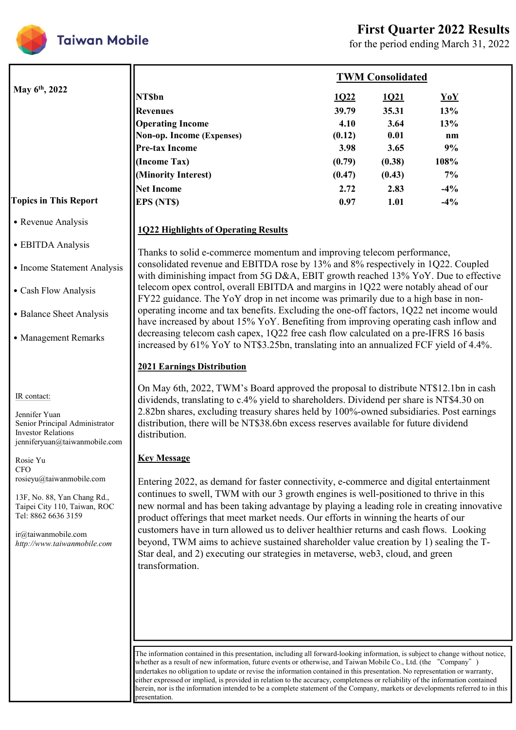

|                                                                                              |                                                                                                                                                                                 |        | <b>First Quarter 2022 Results</b> | for the period ending March 31, 2022 |
|----------------------------------------------------------------------------------------------|---------------------------------------------------------------------------------------------------------------------------------------------------------------------------------|--------|-----------------------------------|--------------------------------------|
|                                                                                              |                                                                                                                                                                                 |        | <b>TWM Consolidated</b>           |                                      |
| May 6 <sup>th</sup> , 2022                                                                   | <b>NT\$bn</b>                                                                                                                                                                   | 1Q22   | 1Q21                              | YoY                                  |
|                                                                                              | <b>Revenues</b>                                                                                                                                                                 | 39.79  | 35.31                             | 13%                                  |
|                                                                                              | <b>Operating Income</b>                                                                                                                                                         | 4.10   | 3.64                              | 13%                                  |
|                                                                                              | Non-op. Income (Expenses)                                                                                                                                                       | (0.12) | 0.01                              | nm                                   |
|                                                                                              | <b>Pre-tax Income</b>                                                                                                                                                           | 3.98   | 3.65                              | 9%                                   |
|                                                                                              | (Income Tax)                                                                                                                                                                    | (0.79) | (0.38)                            | 108%                                 |
|                                                                                              | (Minority Interest)                                                                                                                                                             | (0.47) | (0.43)                            | 7%                                   |
|                                                                                              | Net Income                                                                                                                                                                      | 2.72   | 2.83                              | $-4\%$                               |
| <b>Topics in This Report</b>                                                                 | <b>EPS</b> (NTS)                                                                                                                                                                | 0.97   | 1.01                              | $-4\%$                               |
| • Revenue Analysis                                                                           | <b>1Q22 Highlights of Operating Results</b>                                                                                                                                     |        |                                   |                                      |
| • EBITDA Analysis                                                                            | Thanks to solid e-commerce momentum and improving telecom performance,                                                                                                          |        |                                   |                                      |
| • Income Statement Analysis                                                                  | consolidated revenue and EBITDA rose by 13% and 8% respectively in 1Q22. Coupled<br>with diminishing impact from 5G D&A, EBIT growth reached 13% YoY. Due to effective          |        |                                   |                                      |
| • Cash Flow Analysis                                                                         | telecom opex control, overall EBITDA and margins in 1Q22 were notably ahead of our<br>FY22 guidance. The YoY drop in net income was primarily due to a high base in non-        |        |                                   |                                      |
| • Balance Sheet Analysis                                                                     | operating income and tax benefits. Excluding the one-off factors, 1Q22 net income would<br>have increased by about 15% YoY. Benefiting from improving operating cash inflow and |        |                                   |                                      |
| • Management Remarks                                                                         | decreasing telecom cash capex, 1Q22 free cash flow calculated on a pre-IFRS 16 basis<br>increased by 61% YoY to NT\$3.25bn, translating into an annualized FCF yield of 4.4%.   |        |                                   |                                      |
|                                                                                              | <b>2021 Earnings Distribution</b>                                                                                                                                               |        |                                   |                                      |
| IR contact:                                                                                  | On May 6th, 2022, TWM's Board approved the proposal to distribute NT\$12.1bn in cash<br>dividends, translating to c.4% yield to shareholders. Dividend per share is NT\$4.30 on |        |                                   |                                      |
| Jennifer Yuan                                                                                | 2.82bn shares, excluding treasury shares held by 100%-owned subsidiaries. Post earnings                                                                                         |        |                                   |                                      |
| Senior Principal Administrator<br><b>Investor Relations</b><br>jenniferyuan@taiwanmobile.com | distribution, there will be NT\$38.6bn excess reserves available for future dividend<br>distribution.                                                                           |        |                                   |                                      |
|                                                                                              | <b>Key Message</b>                                                                                                                                                              |        |                                   |                                      |
| Rosie Yu<br><b>CFO</b>                                                                       |                                                                                                                                                                                 |        |                                   |                                      |
| rosieyu@taiwanmobile.com                                                                     | Entering 2022, as demand for faster connectivity, e-commerce and digital entertainment                                                                                          |        |                                   |                                      |
| 13F, No. 88, Yan Chang Rd.,                                                                  | continues to swell, TWM with our 3 growth engines is well-positioned to thrive in this                                                                                          |        |                                   |                                      |
| Taipei City 110, Taiwan, ROC                                                                 | new normal and has been taking advantage by playing a leading role in creating innovative                                                                                       |        |                                   |                                      |
| Tel: 8862 6636 3159                                                                          | product offerings that meet market needs. Our efforts in winning the hearts of our<br>customers have in turn allowed us to deliver healthier returns and cash flows. Looking    |        |                                   |                                      |
|                                                                                              | beyond, TWM aims to achieve sustained shareholder value creation by 1) sealing the T-<br>Star deal, and 2) executing our strategies in metaverse, web3, cloud, and green        |        |                                   |                                      |

The information contained in this presentation, including all forward-looking information, is subject to change without notice, whether as a result of new information, future events or otherwise, and Taiwan Mobile Co., Ltd. (the "Company") undertakes no obligation to update or revise the information contained in this presentation. No representation or warranty, either expressed or implied, is provided in relation to the accuracy, completeness or reliability of the information contained herein, nor is the information intended to be a complete statement of the Company, markets or developments referred to in this presentation.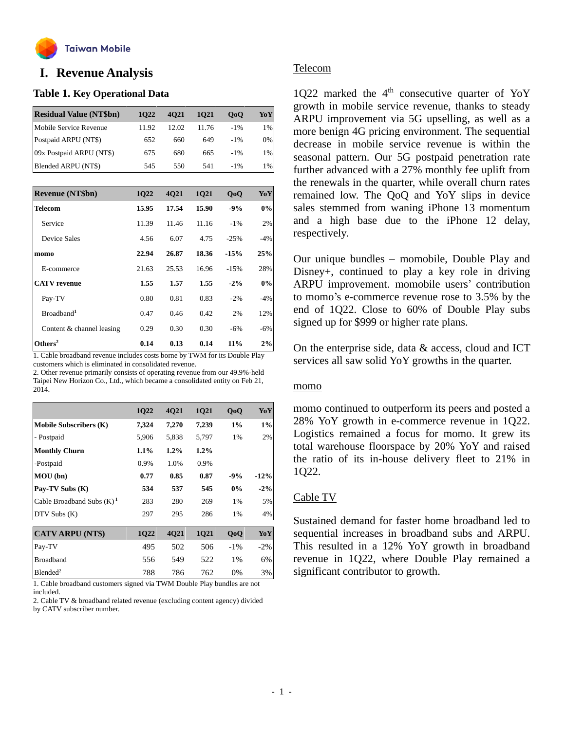

# **o I. Revenue Analysis**

## **Table 1. Key Operational Data**

| <b>Residual Value (NT\$bn)</b> | 1022  | 4021  | 1021  | 0 <sub>0</sub> | YoY |
|--------------------------------|-------|-------|-------|----------------|-----|
| Mobile Service Revenue         | 11.92 | 12.02 | 11.76 | $-1\%$         | 1%  |
| Postpaid ARPU (NT\$)           | 652   | 660   | 649   | $-1\%$         | 0%  |
| 09x Postpaid ARPU (NT\$)       | 675   | 680   | 665   | $-1\%$         | 1%  |
| Blended ARPU (NT\$)            | 545   | 550   | 541   | $-1\%$         | 1%  |

| <b>Revenue (NT\$bn)</b>   | 1Q22  | 4021  | 1021  | QoQ    | YoY   |
|---------------------------|-------|-------|-------|--------|-------|
| <b>Telecom</b>            | 15.95 | 17.54 | 15.90 | $-9%$  | $0\%$ |
| Service                   | 11.39 | 11.46 | 11.16 | $-1\%$ | 2%    |
| Device Sales              | 4.56  | 6.07  | 4.75  | $-25%$ | $-4%$ |
| momo                      | 22.94 | 26.87 | 18.36 | $-15%$ | 25%   |
| E-commerce                | 21.63 | 25.53 | 16.96 | $-15%$ | 28%   |
| <b>CATV</b> revenue       | 1.55  | 1.57  | 1.55  | $-2\%$ | $0\%$ |
| Pay-TV                    | 0.80  | 0.81  | 0.83  | $-2\%$ | $-4%$ |
| Broadband <sup>1</sup>    | 0.47  | 0.46  | 0.42  | 2%     | 12%   |
| Content & channel leasing | 0.29  | 0.30  | 0.30  | $-6%$  | $-6%$ |
| Others <sup>2</sup>       | 0.14  | 0.13  | 0.14  | 11%    | 2%    |

1. Cable broadband revenue includes costs borne by TWM for its Double Play customers which is eliminated in consolidated revenue.

2. Other revenue primarily consists of operating revenue from our 49.9%-held Taipei New Horizon Co., Ltd., which became a consolidated entity on Feb 21, 2014.

|                               | 1Q22    | 4Q21    | 1Q21  | QoQ    | YoY    |
|-------------------------------|---------|---------|-------|--------|--------|
| <b>Mobile Subscribers (K)</b> | 7,324   | 7,270   | 7,239 | $1\%$  | $1\%$  |
| - Postpaid                    | 5,906   | 5,838   | 5,797 | 1%     | 2%     |
| <b>Monthly Churn</b>          | $1.1\%$ | $1.2\%$ | 1.2%  |        |        |
| -Postpaid                     | 0.9%    | 1.0%    | 0.9%  |        |        |
| MOU(bn)                       | 0.77    | 0.85    | 0.87  | $-9%$  | $-12%$ |
| Pay-TV Subs (K)               | 534     | 537     | 545   | 0%     | $-2\%$ |
| Cable Broadband Subs $(K)^1$  | 283     | 280     | 269   | 1%     | 5%     |
| DTV Subs (K)                  | 297     | 295     | 286   | 1%     | 4%     |
|                               |         |         |       |        |        |
| <b>CATV ARPU (NT\$)</b>       | 1Q22    | 4Q21    | 1Q21  | QoQ    | YoY    |
| Pay-TV                        | 495     | 502     | 506   | $-1\%$ | $-2%$  |
| <b>Broadband</b>              | 556     | 549     | 522   | $1\%$  | 6%     |
| Blended <sup>2</sup>          | 788     | 786     | 762   | 0%     | 3%     |

1. Cable broadband customers signed via TWM Double Play bundles are not included.

2. Cable TV & broadband related revenue (excluding content agency) divided by CATV subscriber number.

## Telecom

1Q22 marked the  $4<sup>th</sup>$  consecutive quarter of YoY growth in mobile service revenue, thanks to steady ARPU improvement via 5G upselling, as well as a more benign 4G pricing environment. The sequential decrease in mobile service revenue is within the seasonal pattern. Our 5G postpaid penetration rate further advanced with a 27% monthly fee uplift from the renewals in the quarter, while overall churn rates remained low. The QoQ and YoY slips in device sales stemmed from waning iPhone 13 momentum and a high base due to the iPhone 12 delay, respectively.

Our unique bundles – momobile, Double Play and Disney+, continued to play a key role in driving ARPU improvement. momobile users' contribution to momo's e-commerce revenue rose to 3.5% by the end of 1Q22. Close to 60% of Double Play subs signed up for \$999 or higher rate plans.

On the enterprise side, data & access, cloud and ICT services all saw solid YoY growths in the quarter.

# momo

momo continued to outperform its peers and posted a 28% YoY growth in e-commerce revenue in 1Q22. Logistics remained a focus for momo. It grew its total warehouse floorspace by 20% YoY and raised the ratio of its in-house delivery fleet to 21% in 1Q22.

# Cable TV

Sustained demand for faster home broadband led to sequential increases in broadband subs and ARPU. This resulted in a 12% YoY growth in broadband revenue in 1Q22, where Double Play remained a significant contributor to growth.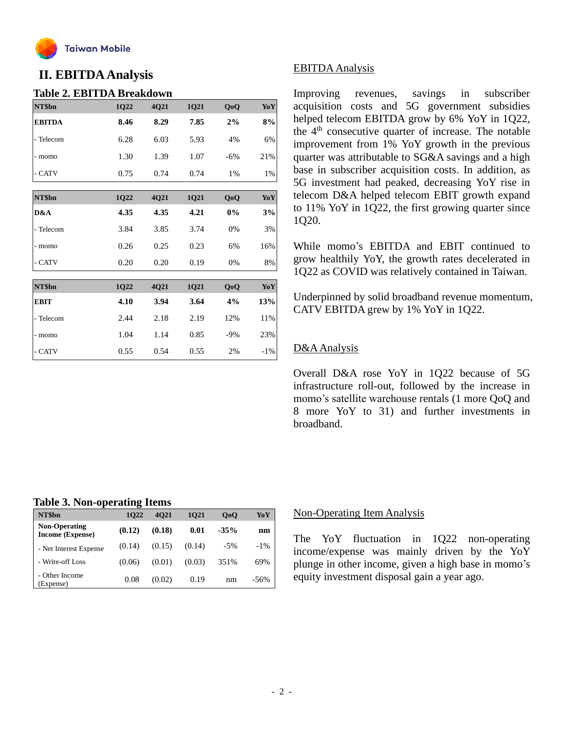

# **II. EBITDAAnalysis**

## **Table 2. EBITDA Breakdown**

| NT\$bn        | 1Q22 | 4Q21 | 1Q21 | QoQ   | YoY    |
|---------------|------|------|------|-------|--------|
| <b>EBITDA</b> | 8.46 | 8.29 | 7.85 | 2%    | 8%     |
| - Telecom     | 6.28 | 6.03 | 5.93 | 4%    | 6%     |
| - momo        | 1.30 | 1.39 | 1.07 | $-6%$ | 21%    |
| - CATV        | 0.75 | 0.74 | 0.74 | 1%    | 1%     |
| NT\$bn        | 1Q22 | 4Q21 | 1Q21 | QoQ   | YoY    |
| D&A           | 4.35 | 4.35 | 4.21 | 0%    | 3%     |
| - Telecom     | 3.84 | 3.85 | 3.74 | 0%    | 3%     |
| - momo        | 0.26 | 0.25 | 0.23 | 6%    | 16%    |
| - CATV        | 0.20 | 0.20 | 0.19 | 0%    | 8%     |
|               |      |      |      |       |        |
| NT\$bn        | 1Q22 | 4Q21 | 1Q21 | QoQ   | YoY    |
| <b>EBIT</b>   | 4.10 | 3.94 | 3.64 | 4%    | 13%    |
| - Telecom     | 2.44 | 2.18 | 2.19 | 12%   | 11%    |
| - momo        | 1.04 | 1.14 | 0.85 | $-9%$ | 23%    |
| - CATV        | 0.55 | 0.54 | 0.55 | 2%    | $-1\%$ |

# EBITDAAnalysis

Improving revenues, savings in subscriber acquisition costs and 5G government subsidies helped telecom EBITDA grow by 6% YoY in 1Q22, the 4th consecutive quarter of increase. The notable improvement from 1% YoY growth in the previous quarter was attributable to SG&A savings and a high base in subscriber acquisition costs. In addition, as 5G investment had peaked, decreasing YoY rise in telecom D&A helped telecom EBIT growth expand to 11% YoY in 1Q22, the first growing quarter since 1Q20.

While momo's EBITDA and EBIT continued to grow healthily YoY, the growth rates decelerated in 1Q22 as COVID was relatively contained in Taiwan.

Underpinned by solid broadband revenue momentum, CATV EBITDA grew by 1% YoY in 1Q22.

# D&AAnalysis

Overall D&A rose YoY in 1Q22 because of 5G infrastructure roll-out, followed by the increase in momo's satellite warehouse rentals (1 more QoQ and 8 more YoY to 31) and further investments in broadband.

### **Table 3. Non-operating Items**

| NT\$bn                                   | . .<br>1022 | 4021   | 1021   | 0 <sub>0</sub> | YoY    |
|------------------------------------------|-------------|--------|--------|----------------|--------|
| <b>Non-Operating</b><br>Income (Expense) | (0.12)      | (0.18) | 0.01   | $-35%$         | nm     |
| - Net Interest Expense                   | (0.14)      | (0.15) | (0.14) | $-5\%$         | $-1\%$ |
| - Write-off Loss                         | (0.06)      | (0.01) | (0.03) | 351%           | 69%    |
| - Other Income<br>(Expense)              | 0.08        | (0.02) | 0.19   | nm             | -56%   |

#### Non-Operating Item Analysis

The YoY fluctuation in 1Q22 non-operating income/expense was mainly driven by the YoY plunge in other income, given a high base in momo's equity investment disposal gain a year ago.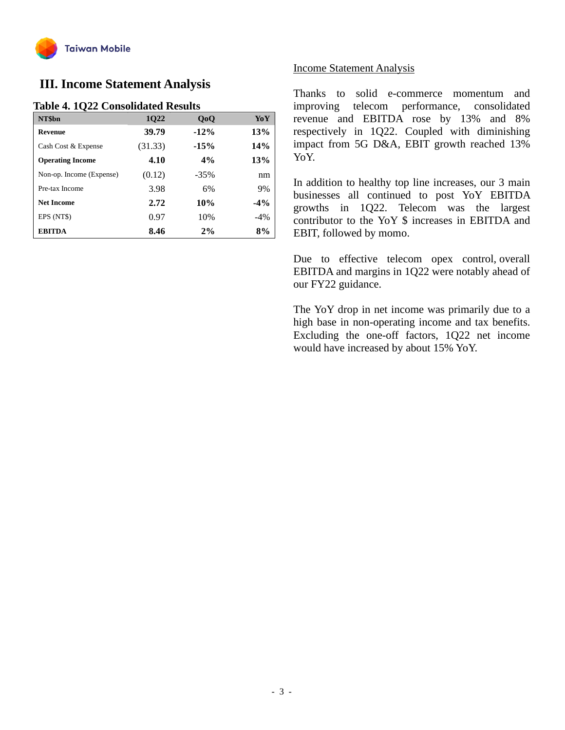

# **III. Income Statement Analysis**

# **Table 4. 1Q22 Consolidated Results**

| NT\$bn                   | 1022    | QoQ     | YoY   |
|--------------------------|---------|---------|-------|
| <b>Revenue</b>           | 39.79   | $-12%$  | 13%   |
| Cash Cost & Expense      | (31.33) | $-15%$  | 14%   |
| <b>Operating Income</b>  | 4.10    | 4%      | 13%   |
| Non-op. Income (Expense) | (0.12)  | $-35\%$ | nm    |
| Pre-tax Income           | 3.98    | 6%      | 9%    |
| <b>Net Income</b>        | 2.72    | 10%     | $-4%$ |
| EPS (NT\$)               | 0.97    | 10%     | $-4%$ |
| <b>EBITDA</b>            | 8.46    | 2%      | 8%    |

## Income Statement Analysis

Thanks to solid e-commerce momentum and improving telecom performance, consolidated revenue and EBITDA rose by 13% and 8% respectively in 1Q22. Coupled with diminishing impact from 5G D&A, EBIT growth reached 13% YoY.

In addition to healthy top line increases, our 3 main businesses all continued to post YoY EBITDA growths in 1Q22. Telecom was the largest contributor to the YoY \$ increases in EBITDA and EBIT, followed by momo.

Due to effective telecom opex control, overall EBITDA and margins in 1Q22 were notably ahead of our FY22 guidance.

The YoY drop in net income was primarily due to a high base in non-operating income and tax benefits. Excluding the one-off factors, 1Q22 net income would have increased by about 15% YoY.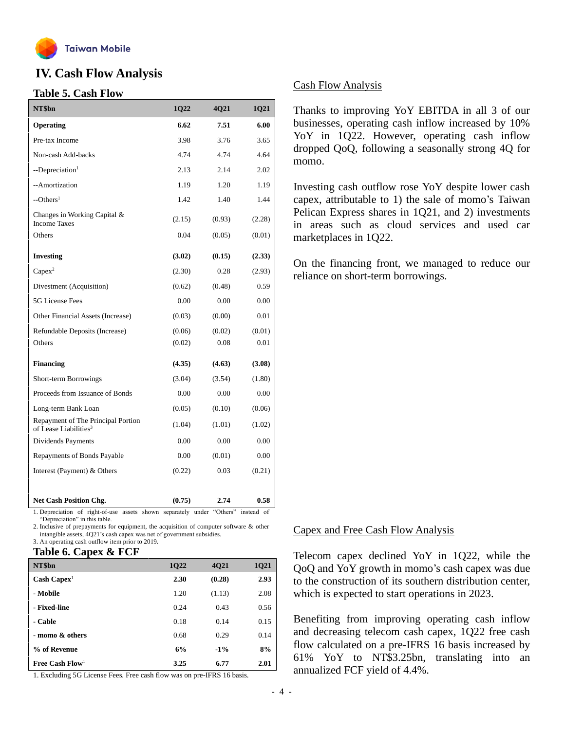

# **IV. Cash Flow Analysis**

## **Table 5. Cash Flow**

| NT\$bn                                                                                      | 1Q22   | 4Q21   | 1Q21                        |
|---------------------------------------------------------------------------------------------|--------|--------|-----------------------------|
| Operating                                                                                   | 6.62   | 7.51   | 6.00                        |
| Pre-tax Income                                                                              | 3.98   | 3.76   | 3.65                        |
| Non-cash Add-backs                                                                          | 4.74   | 4.74   | 4.64                        |
| --Depreciation <sup>1</sup>                                                                 | 2.13   | 2.14   | 2.02                        |
| --Amortization                                                                              | 1.19   | 1.20   | 1.19                        |
| $-$ Others <sup>1</sup>                                                                     | 1.42   | 1.40   | 1.44                        |
| Changes in Working Capital &<br><b>Income Taxes</b>                                         | (2.15) | (0.93) | (2.28)                      |
| Others                                                                                      | 0.04   | (0.05) | (0.01)                      |
| <b>Investing</b>                                                                            | (3.02) | (0.15) | (2.33)                      |
| $Capex^2$                                                                                   | (2.30) | 0.28   | (2.93)                      |
| Divestment (Acquisition)                                                                    | (0.62) | (0.48) | 0.59                        |
| 5G License Fees                                                                             | 0.00   | 0.00   | 0.00                        |
| Other Financial Assets (Increase)                                                           | (0.03) | (0.00) | 0.01                        |
| Refundable Deposits (Increase)                                                              | (0.06) | (0.02) | (0.01)                      |
| Others                                                                                      | (0.02) | 0.08   | 0.01                        |
| <b>Financing</b>                                                                            | (4.35) | (4.63) | (3.08)                      |
| Short-term Borrowings                                                                       | (3.04) | (3.54) | (1.80)                      |
| Proceeds from Issuance of Bonds                                                             | 0.00   | 0.00   | 0.00                        |
| Long-term Bank Loan                                                                         | (0.05) | (0.10) | (0.06)                      |
| Repayment of The Principal Portion<br>of Lease Liabilities <sup>3</sup>                     | (1.04) | (1.01) | (1.02)                      |
| Dividends Payments                                                                          | 0.00   | 0.00   | 0.00                        |
| Repayments of Bonds Payable                                                                 | 0.00   | (0.01) | 0.00                        |
| Interest (Payment) & Others                                                                 | (0.22) | 0.03   | (0.21)                      |
|                                                                                             |        |        |                             |
| <b>Net Cash Position Chg.</b><br>Depreciation of right of use assets shown separately under | (0.75) | 2.74   | 0.58<br>"Others" instead of |

separately under "Depreciation" in this table.

2. Inclusive of prepayments for equipment, the acquisition of computer software & other intangible assets, 4Q21's cash capex was net of government subsidies.

3. An operating cash outflow item prior to 2019.

#### **Table 6. Capex & FCF**

| NT\$bn                        | 1Q22 | 4021   | 1Q21 |
|-------------------------------|------|--------|------|
| $\text{Cash} \text{ Capex}^1$ | 2.30 | (0.28) | 2.93 |
| - Mobile                      | 1.20 | (1.13) | 2.08 |
| - Fixed-line                  | 0.24 | 0.43   | 0.56 |
| - Cable                       | 0.18 | 0.14   | 0.15 |
| - momo & others               | 0.68 | 0.29   | 0.14 |
| % of Revenue                  | 6%   | $-1\%$ | 8%   |
| Free Cash $Flow1$             | 3.25 | 6.77   | 2.01 |

1. Excluding 5G License Fees. Free cash flow was on pre-IFRS 16 basis.

# Cash Flow Analysis

Thanks to improving YoY EBITDA in all 3 of our businesses, operating cash inflow increased by 10% YoY in 1Q22. However, operating cash inflow dropped QoQ, following a seasonally strong 4Q for momo.

Investing cash outflow rose YoY despite lower cash capex, attributable to 1) the sale of momo's Taiwan Pelican Express shares in 1Q21, and 2) investments in areas such as cloud services and used car marketplaces in 1Q22.

On the financing front, we managed to reduce our reliance on short-term borrowings.

#### Capex and Free Cash Flow Analysis

Telecom capex declined YoY in 1Q22, while the QoQ and YoY growth in momo's cash capex was due to the construction of its southern distribution center, which is expected to start operations in 2023.

Benefiting from improving operating cash inflow and decreasing telecom cash capex, 1Q22 free cash flow calculated on a pre-IFRS 16 basis increased by 61% YoY to NT\$3.25bn, translating into an annualized FCF yield of 4.4%.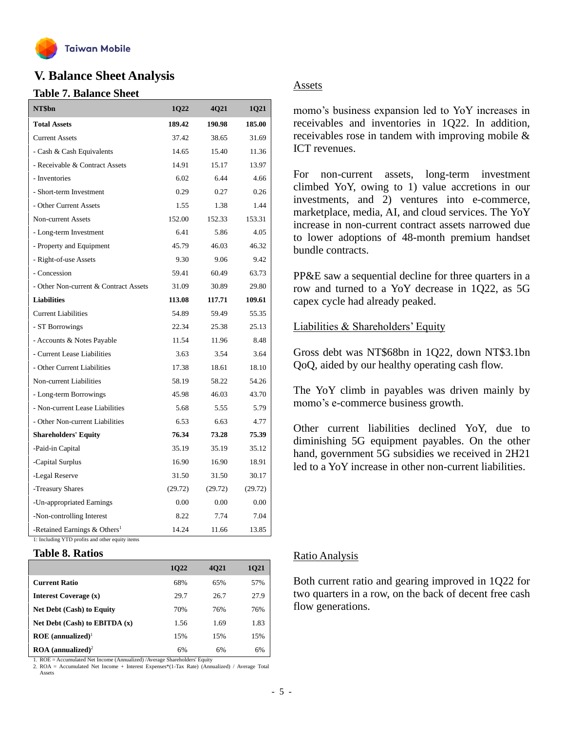

# **V. Balance Sheet Analysis**

### **Table 7. Balance Sheet**

| NT\$bn                                                       | 1Q22    | 4Q21    | 1Q21    |
|--------------------------------------------------------------|---------|---------|---------|
| <b>Total Assets</b>                                          | 189.42  | 190.98  | 185.00  |
| <b>Current Assets</b>                                        | 37.42   | 38.65   | 31.69   |
| - Cash & Cash Equivalents                                    | 14.65   | 15.40   | 11.36   |
| - Receivable & Contract Assets                               | 14.91   | 15.17   | 13.97   |
| - Inventories                                                | 6.02    | 6.44    | 4.66    |
| - Short-term Investment                                      | 0.29    | 0.27    | 0.26    |
| - Other Current Assets                                       | 1.55    | 1.38    | 1.44    |
| Non-current Assets                                           | 152.00  | 152.33  | 153.31  |
| - Long-term Investment                                       | 6.41    | 5.86    | 4.05    |
| - Property and Equipment                                     | 45.79   | 46.03   | 46.32   |
| - Right-of-use Assets                                        | 9.30    | 9.06    | 9.42    |
| - Concession                                                 | 59.41   | 60.49   | 63.73   |
| - Other Non-current & Contract Assets                        | 31.09   | 30.89   | 29.80   |
| <b>Liabilities</b>                                           | 113.08  | 117.71  | 109.61  |
| <b>Current Liabilities</b>                                   | 54.89   | 59.49   | 55.35   |
| - ST Borrowings                                              | 22.34   | 25.38   | 25.13   |
| - Accounts & Notes Payable                                   | 11.54   | 11.96   | 8.48    |
| - Current Lease Liabilities                                  | 3.63    | 3.54    | 3.64    |
| - Other Current Liabilities                                  | 17.38   | 18.61   | 18.10   |
| Non-current Liabilities                                      | 58.19   | 58.22   | 54.26   |
| - Long-term Borrowings                                       | 45.98   | 46.03   | 43.70   |
| - Non-current Lease Liabilities                              | 5.68    | 5.55    | 5.79    |
| - Other Non-current Liabilities                              | 6.53    | 6.63    | 4.77    |
| <b>Shareholders' Equity</b>                                  | 76.34   | 73.28   | 75.39   |
| -Paid-in Capital                                             | 35.19   | 35.19   | 35.12   |
| -Capital Surplus                                             | 16.90   | 16.90   | 18.91   |
| -Legal Reserve                                               | 31.50   | 31.50   | 30.17   |
| -Treasury Shares                                             | (29.72) | (29.72) | (29.72) |
| -Un-appropriated Earnings                                    | 0.00    | 0.00    | 0.00    |
| -Non-controlling Interest                                    | 8.22    | 7.74    | 7.04    |
| -Retained Earnings $&$ Others <sup>1</sup><br>$\overline{r}$ | 14.24   | 11.66   | 13.85   |

1: Including YTD profits and other equity items

#### **Table 8. Ratios**

|                                        | 1022 | 4021 | 1021 |
|----------------------------------------|------|------|------|
| <b>Current Ratio</b>                   | 68%  | 65%  | 57%  |
| Interest Coverage (x)                  | 29.7 | 26.7 | 27.9 |
| <b>Net Debt (Cash) to Equity</b>       | 70%  | 76%  | 76%  |
| Net Debt $(Cash)$ to EBITDA $(x)$      | 1.56 | 1.69 | 1.83 |
| $ROE$ (annualized) <sup>1</sup>        | 15%  | 15%  | 15%  |
| $\text{ROA}$ (annualized) <sup>2</sup> | 6%   | 6%   | 6%   |

1. ROE = Accumulated Net Income (Annualized) /Average Shareholders' Equity

2. ROA = Accumulated Net Income + Interest Expenses\*(1-Tax Rate) (Annualized) / Average Total Assets

## Assets

momo's business expansion led to YoY increases in receivables and inventories in 1Q22. In addition, receivables rose in tandem with improving mobile & ICT revenues.

For non-current assets, long-term investment climbed YoY, owing to 1) value accretions in our investments, and 2) ventures into e-commerce, marketplace, media, AI, and cloud services. The YoY increase in non-current contract assets narrowed due to lower adoptions of 48-month premium handset bundle contracts.

PP&E saw a sequential decline for three quarters in a row and turned to a YoY decrease in 1Q22, as 5G capex cycle had already peaked.

Liabilities & Shareholders' Equity

Gross debt was NT\$68bn in 1Q22, down NT\$3.1bn QoQ, aided by our healthy operating cash flow.

The YoY climb in payables was driven mainly by momo's e-commerce business growth.

Other current liabilities declined YoY, due to diminishing 5G equipment payables. On the other hand, government 5G subsidies we received in 2H21 led to a YoY increase in other non-current liabilities.

# Ratio Analysis

Both current ratio and gearing improved in 1Q22 for two quarters in a row, on the back of decent free cash flow generations.